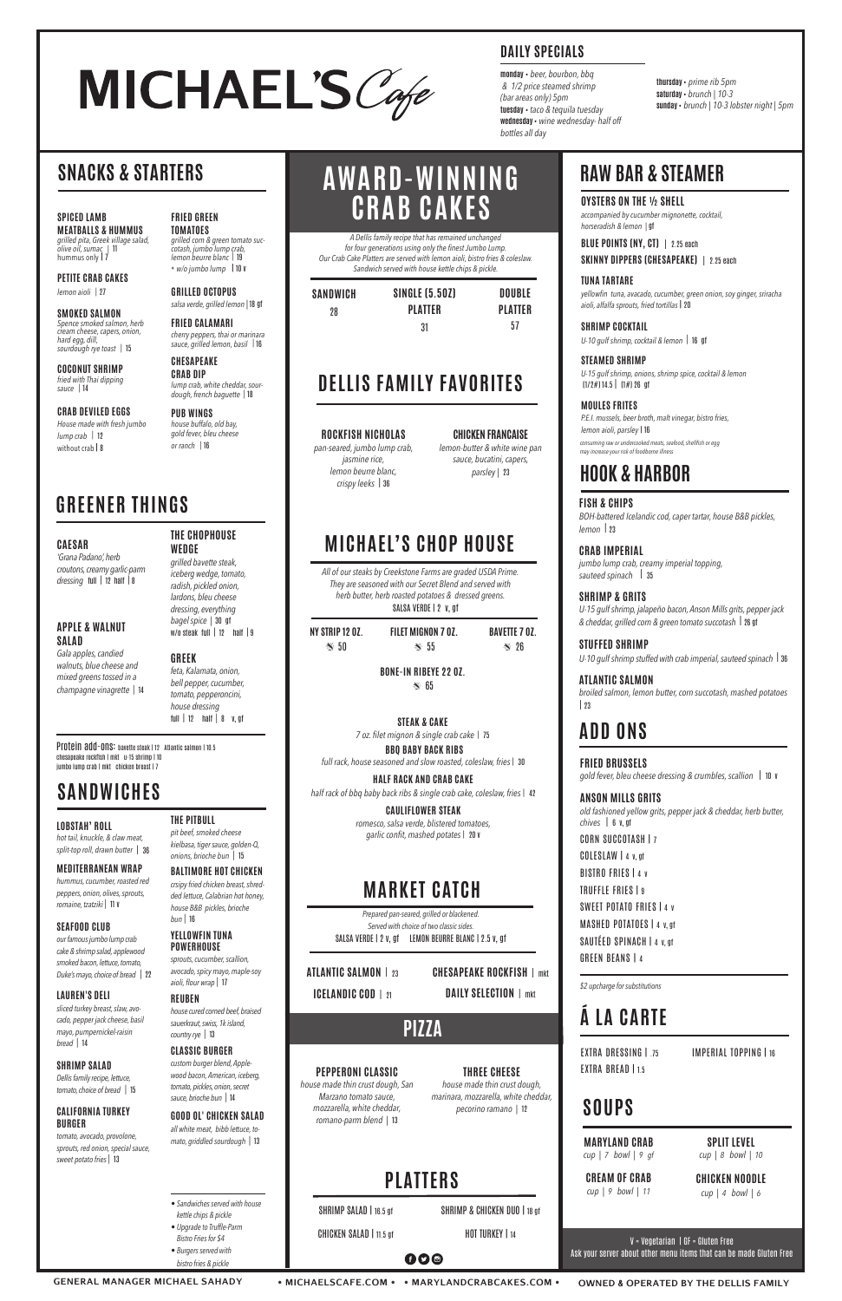**MEATBALLS & HUMMUS** *grilled pita, Greek village salad, olive oil, sumac |* 11 hummus only | 7

**PETITE CRAB CAKES** *lemon aioli |* 27

**CRAB DEVILED EGGS** *House made with fresh jumbo lump crab |* 12 without crab | 8

**SMOKED SALMON** *Spence smoked salmon, herb cream cheese, capers, onion, hard egg, dill, sourdough rye toast |* 15

**COCONUT SHRIMP** *fried with Thai dipping sauce |* 14

**FRIED GREEN TOMATOES**

*grilled corn & green tomato succotash, jumbo lump crab, lemon beurre blanc |* 19 + *w/o jumbo lump* | 10 v

**GRILLED OCTOPUS** *salsa verde, grilled lemon |* 18 gf

> **STEAMED SHRIMP** *U-15 gulf shrimp, onions, shrimp spice, cocktail & lemon*  $(1/2\#) 14.5$   $(1\#) 26$  gf

**FRIED CALAMARI** *cherry peppers, thai or marinara sauce, grilled lemon, basil |* 16

**CHESAPEAKE CRAB DIP**

*lump crab, white cheddar, sourdough, french baguette |* 18

**PUB WINGS** *house buffalo, old bay, gold fever, bleu cheese or ranch |* 16

# MICHAEL'S Cafe

## **SNACKS & STARTERS**

**OYSTERS ON THE ½ SHELL** *accompanied by cucumber mignonette, cocktail, horseradish & lemon |* gf

**BLUE POINTS (NY, CT)** | 2.25 each **SKINNY DIPPERS (CHESAPEAKE)** | 2.25 each

**TUNA TARTARE** *yellowfin tuna, avacado, cucumber, green onion, soy ginger, sriracha aioli, alfalfa sprouts, fried tortillas* | 20

Protein add-ons: bavette steak | 12 Atlantic salmon | 10.5 chesapeake rockfish | mkt u-15 shrimp | 10 jumbo lump crab | mkt chicken breast | 7

**SHRIMP COCKTAIL** *U-10 gulf shrimp, cocktail & lemon |* 16 gf

**MOULES FRITES** *P.E.I. mussels, beer broth, malt vinegar, bistro fries, lemon aioli, parsley* | 16

## **RAW BAR & STEAMER**

**GENERAL MANAGER MICHAEL SAHADY • MICHAELSCAFE.COM • • MARYLANDCRABCAKES.COM • OWNED & OPERATED BY THE DELLIS FAMILY**

**000** 

*consuming raw or undercooked meats, seafood, shellfish or egg may increase your risk of foodborne illness*

## **GREENER THINGS**

#### **CAESAR**

*'Grana Padano', herb croutons, creamy garlic-parm dressing* full | <sup>12</sup> half | <sup>8</sup>

#### **APPLE & WALNUT SALAD**

*Gala apples, candied walnuts, blue cheese and mixed greens tossed in a champagne vinagrette |* <sup>14</sup>

#### **THE CHOPHOUSE WEDGE**

*grilled bavette steak, iceberg wedge, tomato, radish, pickled onion, lardons, bleu cheese dressing, everything bagel spice |* 30 gf w/o steak full | <sup>12</sup>half | <sup>9</sup>

#### **GREEK**

**BONE-IN RIBEYE 22 OZ.**  $\approx 65$ 

*feta, Kalamata, onion, bell pepper, cucumber, tomato, pepperoncini, house dressing*  full | 12 half *|* 8 v, gf

*All of our steaks by Creekstone Farms are graded USDA Prime. They are seasoned with our Secret Blend and served with herb butter, herb roasted potatoes & dressed greens.* SALSA VERDE | 2 v, qf

**LOBSTAH' ROLL** *hot tail, knuckle, & claw meat, split-top roll, drawn butter* | <sup>36</sup>

**MEDITERRANEAN WRAP** *hummus, cucumber, roasted red peppers, onion, olives, sprouts, romaine, tzatziki |* 11 v

**SEAFOOD CLUB**

*our famous jumbo lump crab cake & shrimp salad, applewood* 

*smoked bacon, lettuce, tomato, Duke's mayo, choice of bread |* 22

#### **LAUREN'S DELI**

*sliced turkey breast, slaw, avocado, pepper jack cheese, basil mayo, pumpernickel-raisin bread |* <sup>14</sup>

#### **SHRIMP SALAD**

*Dellis family recipe, lettuce, tomato, choice of bread |* 15 **ATLANTIC SALMON** *broiled salmon, lemon butter, corn succotash, mashed potatoes*   $| 23$ 

#### **CALIFORNIA TURKEY BURGER**

*old fashioned yellow grits, pepper jack & cheddar, herb butter, chives* | 6 v, gf CORN SUCCOTASH | 7 COLESLAW | 4 v, gf

*tomato, avocado, provolone, sprouts, red onion, special sauce, sweet potato fries |* 13

**THE PITBULL** *pit beef, smoked cheese kielbasa, tiger sauce, golden-Q, onions, brioche bun |* <sup>15</sup> **BALTIMORE HOT CHICKEN**

*crsipy fried chicken breast, shredded lettuce, Calabrian hot honey, house B&B pickles, brioche bun |* 16

**YELLOWFIN TUNA POWERHOUSE**

# **AWARD-WINNING**  SPICED LAMB **CRAB CAKES**

**EXTRA DRESSING | 75** EXTRA BREAD | 1.5

*sprouts, cucumber, scallion, avocado, spicy mayo, maple-soy aioli, flour wrap |* 17

### **REUBEN**

*house cured corned beef, braised sauerkraut, swiss, 1k island, country rye |* <sup>13</sup>

#### **CLASSIC BURGER**

*custom burger blend, Applewood bacon, American, iceberg, tomato, pickles, onion, secret sauce, brioche bun |* 14

#### **GOOD OL' CHICKEN SALAD**

*all white meat, bibb lettuce, tomato, griddled sourdough |* 13

| <b>SANDWICH</b> | <b>SINGLE (5.50Z)</b> | DOUBLE         |
|-----------------|-----------------------|----------------|
| 28              | <b>PLATTER</b>        | <b>PLATTER</b> |
|                 | 31                    | 57             |

*A Dellis family recipe that has remained unchanged for four generations using only the finest Jumbo Lump. Our Crab Cake Platters are served with lemon aioli, bistro fries & coleslaw. Sandwich served with house kettle chips & pickle.*

## **DELLIS FAMILY FAVORITES**

#### **ROCKFISH NICHOLAS**

*pan-seared, jumbo lump crab, jasmine rice, lemon beurre blanc, crispy leeks* | <sup>36</sup>

**CHICKEN FRANCAISE** *lemon-butter & white wine pan sauce, bucatini, capers, parsley |* 23

## **MICHAEL'S CHOP HOUSE**

| NY STRIP 12 0Z. | FILET MIGNON 7 0Z. | <b>BAVETTE 7 07</b> |
|-----------------|--------------------|---------------------|
| $\approx$ 50    | $\approx$ 55       | $\approx$ 26        |

#### **STEAK & CAKE**

*7 oz. filet mignon & single crab cake* | 75

 **BBQ BABY BACK RIBS** *full rack, house seasoned and slow roasted, coleslaw, fries*| 30

**HALF RACK AND CRAB CAKE** *half rack of bbq baby back ribs & single crab cake, coleslaw, fries* | 42

> **CAULIFLOWER STEAK** *romesco, salsa verde, blistered tomatoes, garlic confit, mashed potates* | 20 v

## **MARKET CATCH**

| <b>ATLANTIC SALMON   23</b>    |  |
|--------------------------------|--|
| <b>ICELANDIC COD</b> $\mid$ 21 |  |

*Prepared pan-seared, grilled or blackened. Served with choice of two classic sides.* SALSA VERDE | 2 v, gf LEMON BEURRE BLANC | 2.5 v, gf

> **CHESAPEAKE ROCKFISH**| mkt **DAILY SELECTION**| mkt

**PEPPERONI CLASSIC** *house made thin crust dough, San Marzano tomato sauce, mozzarella, white cheddar, romano-parm blend |* 13

SHRIMP SALAD | 16.5 gf

CHICKEN SALAD | 11.5 gf

**THREE CHEESE** *house made thin crust dough, marinara, mozzarella, white cheddar, pecorino ramano |* <sup>12</sup>

SHRIMP & CHICKEN DUO | 18 gf

 **PIZZA**

**FISH & CHIPS** *BOH-battered Icelandic cod, caper tartar, house B&B pickles, lemon* | <sup>23</sup>

**CRAB IMPERIAL** *jumbo lump crab, creamy imperial topping, sauteed spinach* | <sup>35</sup>

**SHRIMP & GRITS** *U-15 gulf shrimp, jalapeño bacon, Anson Mills grits, pepper jack & cheddar, grilled corn & green tomato succotash* | 26 gf

**STUFFED SHRIMP** *U-10 gulf shrimp stuffed with crab imperial, sauteed spinach* | <sup>36</sup>

## **HOOK & HARBOR**

**FRIED BRUSSELS** *gold fever, bleu cheese dressing & crumbles, scallion* | 10 v

**ANSON MILLS GRITS**

BISTRO FRIES | 4 v TRUFFLE FRIES | 9 SWEET POTATO FRIES | 4 V MASHED POTATOES | 4 v, gf SAUTÉED SPINACH | 4 v, gf GREEN BEANS | 4

# **ADD ONS**

## **SOUPS**

V = Vegetarian | GF = Gluten Free Ask your server about other menu items that can be made Gluten Free

## **SANDWICHES**

| • Sandwiches served with house |  |
|--------------------------------|--|
| kettle chips & pickle          |  |

- *Upgrade to Truffle-Parm Bistro Fries for \$4*
- *Burgers served with*

*bistro fries & pickle*

## **Á LA CARTE**

IMPERIAL TOPPING | 16

*\$2 upcharge for substitutions*

**PLATTERS**

HOT TURKEY | 14

**MARYLAND CRAB** *cup | 7 bowl | 9 gf*

**CREAM OF CRAB** *cup | 9 bowl | 11*

**SPLIT LEVEL** *cup | 8 bowl | 10* 

**CHICKEN NOODLE**

*cup | 4 bowl | 6* 

**monday** • *beer, bourbon, bbq & 1/2 price steamed shrimp (bar areas only) 5pm* **tuesday** • *taco & tequila tuesday* **wednesday** • *wine wednesday- half off bottles all day*

## **DAILY SPECIALS**

**thursday** • *prime rib 5pm* **saturday** • *brunch | 10-3* **sunday** • *brunch | 10-3 lobster night | 5pm*